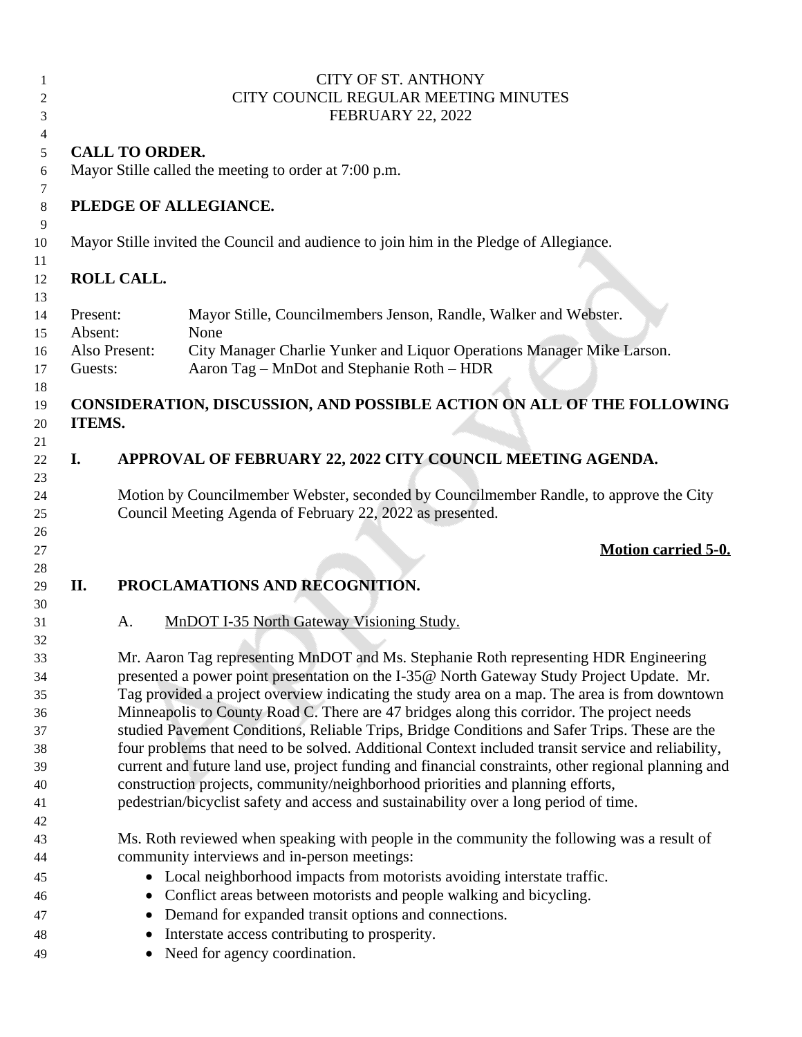| 1<br>2         |                     | <b>CITY OF ST. ANTHONY</b><br>CITY COUNCIL REGULAR MEETING MINUTES                            |                                                                                                                                                                                            |  |  |  |
|----------------|---------------------|-----------------------------------------------------------------------------------------------|--------------------------------------------------------------------------------------------------------------------------------------------------------------------------------------------|--|--|--|
| 3<br>4         |                     |                                                                                               | <b>FEBRUARY 22, 2022</b>                                                                                                                                                                   |  |  |  |
| 5              |                     | <b>CALL TO ORDER.</b>                                                                         |                                                                                                                                                                                            |  |  |  |
| 6<br>7         |                     |                                                                                               | Mayor Stille called the meeting to order at 7:00 p.m.                                                                                                                                      |  |  |  |
| 8<br>9         |                     |                                                                                               | PLEDGE OF ALLEGIANCE.                                                                                                                                                                      |  |  |  |
| 10<br>11       |                     |                                                                                               | Mayor Stille invited the Council and audience to join him in the Pledge of Allegiance.                                                                                                     |  |  |  |
| 12<br>13       |                     | <b>ROLL CALL.</b>                                                                             |                                                                                                                                                                                            |  |  |  |
| 14<br>15       | Present:<br>Absent: |                                                                                               | Mayor Stille, Councilmembers Jenson, Randle, Walker and Webster.<br>None                                                                                                                   |  |  |  |
| 16<br>17       | Guests:             | Also Present:                                                                                 | City Manager Charlie Yunker and Liquor Operations Manager Mike Larson.<br>Aaron Tag - MnDot and Stephanie Roth - HDR                                                                       |  |  |  |
| 18<br>19<br>20 | ITEMS.              |                                                                                               | CONSIDERATION, DISCUSSION, AND POSSIBLE ACTION ON ALL OF THE FOLLOWING                                                                                                                     |  |  |  |
| 21<br>22<br>23 | I.                  |                                                                                               | APPROVAL OF FEBRUARY 22, 2022 CITY COUNCIL MEETING AGENDA.                                                                                                                                 |  |  |  |
| 24<br>25       |                     |                                                                                               | Motion by Councilmember Webster, seconded by Councilmember Randle, to approve the City<br>Council Meeting Agenda of February 22, 2022 as presented.                                        |  |  |  |
| 26<br>27<br>28 |                     |                                                                                               | <b>Motion carried 5-0.</b>                                                                                                                                                                 |  |  |  |
| 29             | II.                 |                                                                                               | PROCLAMATIONS AND RECOGNITION.                                                                                                                                                             |  |  |  |
| 30<br>31<br>32 |                     | A.                                                                                            | <b>MnDOT I-35 North Gateway Visioning Study.</b>                                                                                                                                           |  |  |  |
| 33             |                     |                                                                                               | Mr. Aaron Tag representing MnDOT and Ms. Stephanie Roth representing HDR Engineering                                                                                                       |  |  |  |
| 34             |                     |                                                                                               | presented a power point presentation on the I-35@ North Gateway Study Project Update. Mr.                                                                                                  |  |  |  |
| 35<br>36       |                     |                                                                                               | Tag provided a project overview indicating the study area on a map. The area is from downtown<br>Minneapolis to County Road C. There are 47 bridges along this corridor. The project needs |  |  |  |
| 37             |                     | studied Pavement Conditions, Reliable Trips, Bridge Conditions and Safer Trips. These are the |                                                                                                                                                                                            |  |  |  |
| 38             |                     |                                                                                               | four problems that need to be solved. Additional Context included transit service and reliability,                                                                                         |  |  |  |
| 39             |                     |                                                                                               | current and future land use, project funding and financial constraints, other regional planning and                                                                                        |  |  |  |
| 40             |                     |                                                                                               | construction projects, community/neighborhood priorities and planning efforts,                                                                                                             |  |  |  |
| 41<br>42       |                     |                                                                                               | pedestrian/bicyclist safety and access and sustainability over a long period of time.                                                                                                      |  |  |  |
| 43             |                     |                                                                                               | Ms. Roth reviewed when speaking with people in the community the following was a result of                                                                                                 |  |  |  |
| 44             |                     |                                                                                               | community interviews and in-person meetings:                                                                                                                                               |  |  |  |
| 45             |                     |                                                                                               | • Local neighborhood impacts from motorists avoiding interstate traffic.                                                                                                                   |  |  |  |
| 46             |                     |                                                                                               | • Conflict areas between motorists and people walking and bicycling.                                                                                                                       |  |  |  |
| 47             |                     |                                                                                               | Demand for expanded transit options and connections.                                                                                                                                       |  |  |  |
| 48             |                     |                                                                                               | Interstate access contributing to prosperity.                                                                                                                                              |  |  |  |
| 49             |                     |                                                                                               | Need for agency coordination.                                                                                                                                                              |  |  |  |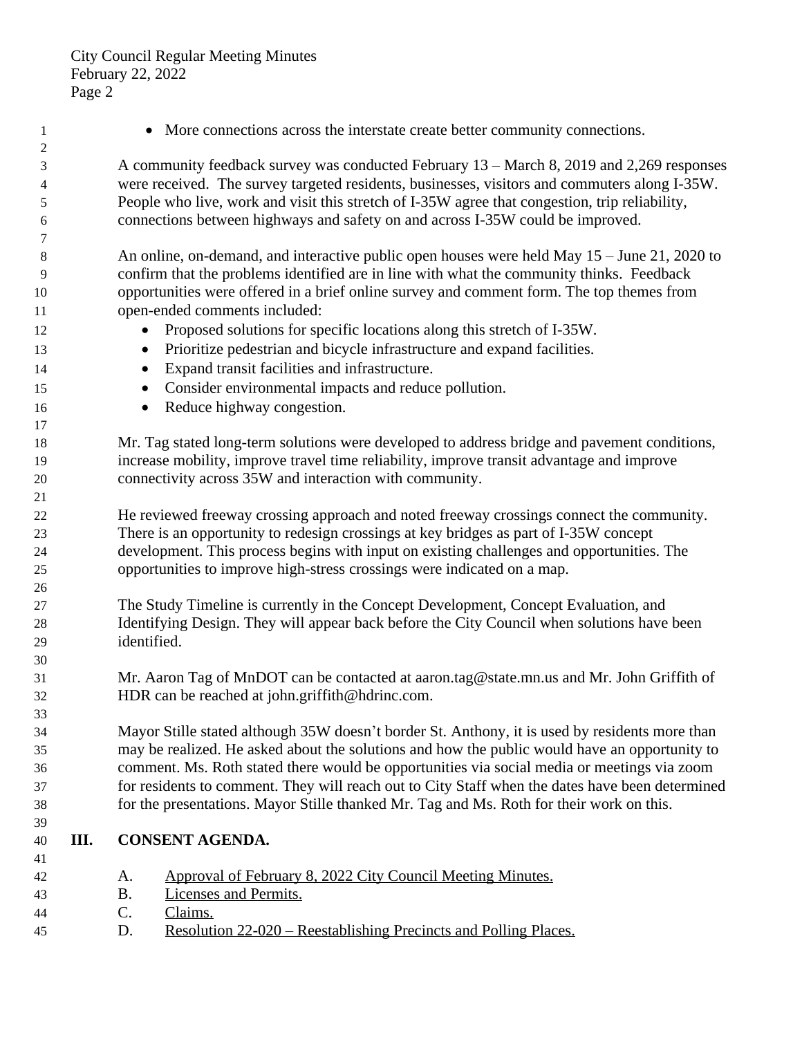- **1** More connections across the interstate create better community connections. A community feedback survey was conducted February 13 – March 8, 2019 and 2,269 responses were received. The survey targeted residents, businesses, visitors and commuters along I-35W. People who live, work and visit this stretch of I-35W agree that congestion, trip reliability, connections between highways and safety on and across I-35W could be improved. An online, on-demand, and interactive public open houses were held May 15 – June 21, 2020 to confirm that the problems identified are in line with what the community thinks. Feedback opportunities were offered in a brief online survey and comment form. The top themes from open-ended comments included: 12 Proposed solutions for specific locations along this stretch of I-35W. Prioritize pedestrian and bicycle infrastructure and expand facilities. Expand transit facilities and infrastructure. Consider environmental impacts and reduce pollution. 16 • Reduce highway congestion. Mr. Tag stated long-term solutions were developed to address bridge and pavement conditions, increase mobility, improve travel time reliability, improve transit advantage and improve connectivity across 35W and interaction with community. He reviewed freeway crossing approach and noted freeway crossings connect the community. There is an opportunity to redesign crossings at key bridges as part of I-35W concept development. This process begins with input on existing challenges and opportunities. The opportunities to improve high-stress crossings were indicated on a map. The Study Timeline is currently in the Concept Development, Concept Evaluation, and Identifying Design. They will appear back before the City Council when solutions have been identified. Mr. Aaron Tag of MnDOT can be contacted at aaron.tag@state.mn.us and Mr. John Griffith of HDR can be reached at john.griffith@hdrinc.com. Mayor Stille stated although 35W doesn't border St. Anthony, it is used by residents more than may be realized. He asked about the solutions and how the public would have an opportunity to comment. Ms. Roth stated there would be opportunities via social media or meetings via zoom for residents to comment. They will reach out to City Staff when the dates have been determined for the presentations. Mayor Stille thanked Mr. Tag and Ms. Roth for their work on this. **III. CONSENT AGENDA.** A. Approval of February 8, 2022 City Council Meeting Minutes. B. Licenses and Permits. C. Claims.
- D. Resolution 22-020 Reestablishing Precincts and Polling Places.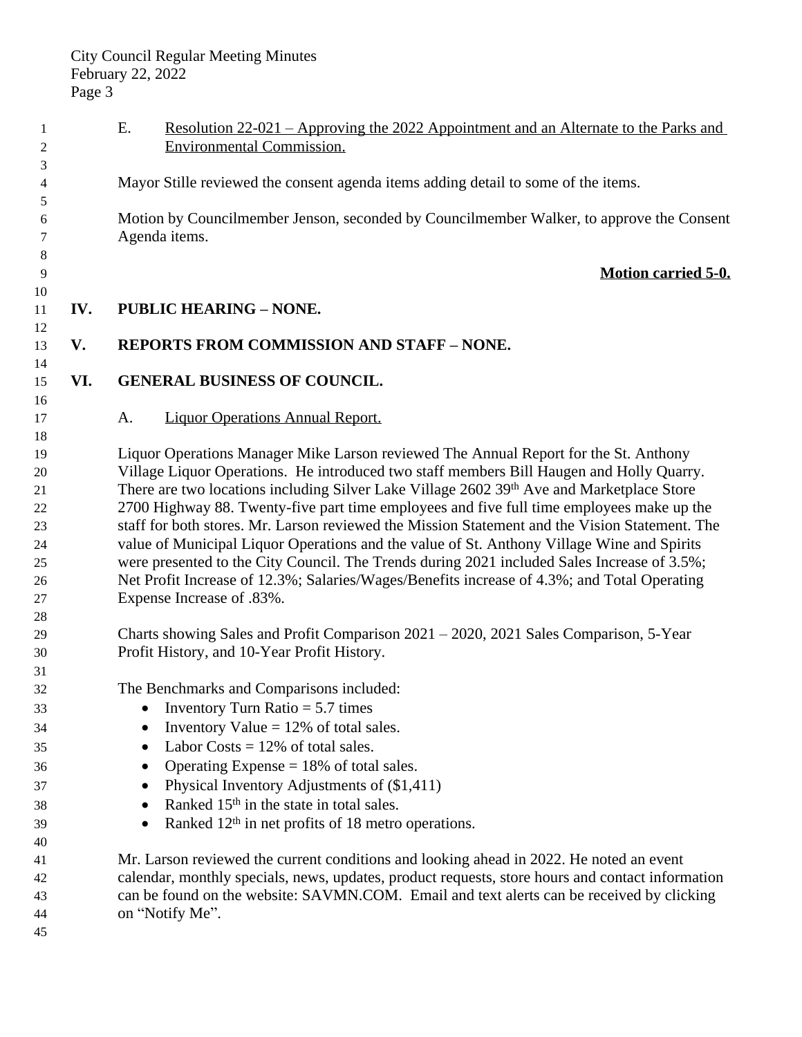| 1        |     | Ε.                                                                                                                                   | <u>Resolution 22-021 – Approving the 2022 Appointment and an Alternate to the Parks and</u>      |  |
|----------|-----|--------------------------------------------------------------------------------------------------------------------------------------|--------------------------------------------------------------------------------------------------|--|
| 2        |     |                                                                                                                                      | <b>Environmental Commission.</b>                                                                 |  |
| 3        |     |                                                                                                                                      |                                                                                                  |  |
| 4        |     |                                                                                                                                      | Mayor Stille reviewed the consent agenda items adding detail to some of the items.               |  |
| 5        |     |                                                                                                                                      | Motion by Councilmember Jenson, seconded by Councilmember Walker, to approve the Consent         |  |
| 6<br>7   |     | Agenda items.                                                                                                                        |                                                                                                  |  |
| 8        |     |                                                                                                                                      |                                                                                                  |  |
| 9        |     |                                                                                                                                      | <b>Motion carried 5-0.</b>                                                                       |  |
| 10       |     |                                                                                                                                      |                                                                                                  |  |
| 11       | IV. |                                                                                                                                      | <b>PUBLIC HEARING - NONE.</b>                                                                    |  |
| 12       |     |                                                                                                                                      |                                                                                                  |  |
| 13       | V.  |                                                                                                                                      | <b>REPORTS FROM COMMISSION AND STAFF - NONE.</b>                                                 |  |
| 14       |     |                                                                                                                                      |                                                                                                  |  |
| 15       | VI. |                                                                                                                                      | <b>GENERAL BUSINESS OF COUNCIL.</b>                                                              |  |
| 16       |     |                                                                                                                                      |                                                                                                  |  |
| 17       |     | A.                                                                                                                                   | <b>Liquor Operations Annual Report.</b>                                                          |  |
| 18       |     |                                                                                                                                      |                                                                                                  |  |
| 19       |     |                                                                                                                                      | Liquor Operations Manager Mike Larson reviewed The Annual Report for the St. Anthony             |  |
| 20       |     | Village Liquor Operations. He introduced two staff members Bill Haugen and Holly Quarry.                                             |                                                                                                  |  |
| 21       |     | There are two locations including Silver Lake Village 2602 39th Ave and Marketplace Store                                            |                                                                                                  |  |
| 22       |     | 2700 Highway 88. Twenty-five part time employees and five full time employees make up the                                            |                                                                                                  |  |
| 23       |     | staff for both stores. Mr. Larson reviewed the Mission Statement and the Vision Statement. The                                       |                                                                                                  |  |
| 24       |     | value of Municipal Liquor Operations and the value of St. Anthony Village Wine and Spirits                                           |                                                                                                  |  |
| 25       |     | were presented to the City Council. The Trends during 2021 included Sales Increase of 3.5%;                                          |                                                                                                  |  |
| 26       |     |                                                                                                                                      | Net Profit Increase of 12.3%; Salaries/Wages/Benefits increase of 4.3%; and Total Operating      |  |
| 27       |     |                                                                                                                                      | Expense Increase of .83%.                                                                        |  |
| 28<br>29 |     |                                                                                                                                      |                                                                                                  |  |
| 30       |     | Charts showing Sales and Profit Comparison 2021 – 2020, 2021 Sales Comparison, 5-Year<br>Profit History, and 10-Year Profit History. |                                                                                                  |  |
| 31       |     |                                                                                                                                      |                                                                                                  |  |
| 32       |     |                                                                                                                                      | The Benchmarks and Comparisons included:                                                         |  |
| 33       |     |                                                                                                                                      | • Inventory Turn Ratio $= 5.7$ times                                                             |  |
| 34       |     |                                                                                                                                      | Inventory Value $= 12\%$ of total sales.                                                         |  |
| 35       |     | ٠                                                                                                                                    | Labor Costs $= 12\%$ of total sales.                                                             |  |
| 36       |     |                                                                                                                                      | Operating Expense $= 18\%$ of total sales.                                                       |  |
| 37       |     |                                                                                                                                      | Physical Inventory Adjustments of (\$1,411)                                                      |  |
| 38       |     |                                                                                                                                      | Ranked 15 <sup>th</sup> in the state in total sales.                                             |  |
| 39       |     |                                                                                                                                      | Ranked 12 <sup>th</sup> in net profits of 18 metro operations.                                   |  |
| 40       |     |                                                                                                                                      |                                                                                                  |  |
| 41       |     | Mr. Larson reviewed the current conditions and looking ahead in 2022. He noted an event                                              |                                                                                                  |  |
| 42       |     |                                                                                                                                      | calendar, monthly specials, news, updates, product requests, store hours and contact information |  |
| 43       |     | can be found on the website: SAVMN.COM. Email and text alerts can be received by clicking                                            |                                                                                                  |  |
| 44       |     |                                                                                                                                      | on "Notify Me".                                                                                  |  |
| 45       |     |                                                                                                                                      |                                                                                                  |  |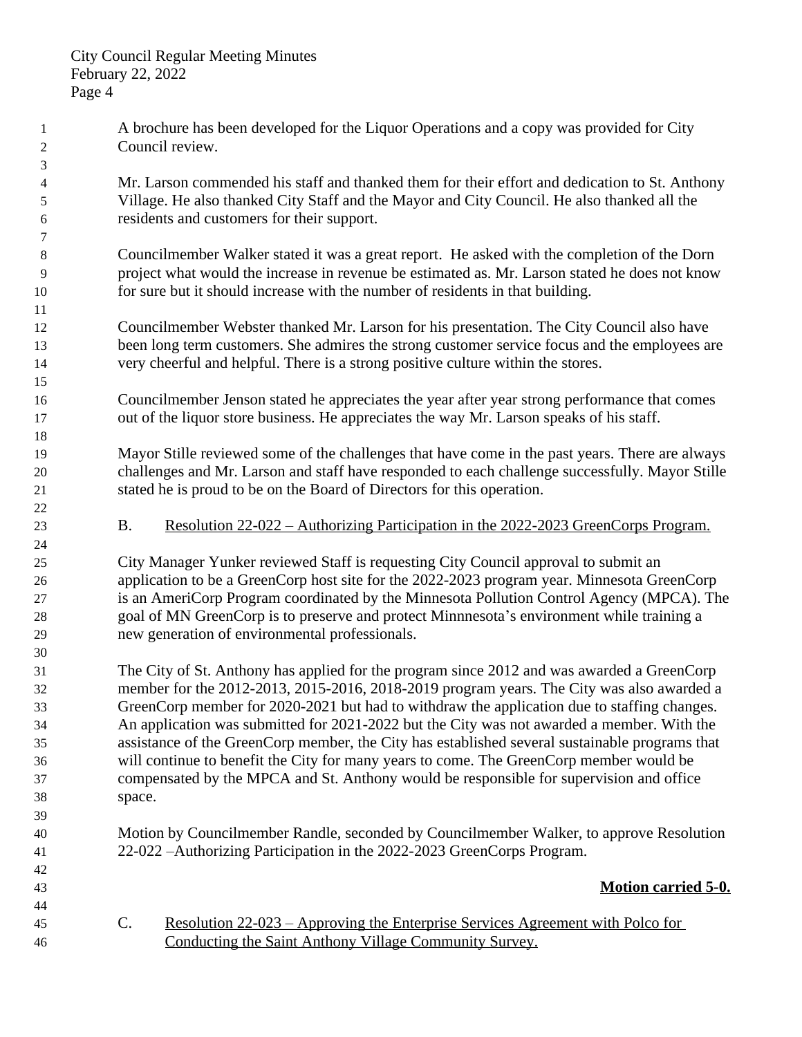A brochure has been developed for the Liquor Operations and a copy was provided for City Council review. Mr. Larson commended his staff and thanked them for their effort and dedication to St. Anthony Village. He also thanked City Staff and the Mayor and City Council. He also thanked all the residents and customers for their support. Councilmember Walker stated it was a great report. He asked with the completion of the Dorn project what would the increase in revenue be estimated as. Mr. Larson stated he does not know for sure but it should increase with the number of residents in that building. Councilmember Webster thanked Mr. Larson for his presentation. The City Council also have 13 been long term customers. She admires the strong customer service focus and the employees are very cheerful and helpful. There is a strong positive culture within the stores. Councilmember Jenson stated he appreciates the year after year strong performance that comes out of the liquor store business. He appreciates the way Mr. Larson speaks of his staff. Mayor Stille reviewed some of the challenges that have come in the past years. There are always challenges and Mr. Larson and staff have responded to each challenge successfully. Mayor Stille stated he is proud to be on the Board of Directors for this operation. 23 B. Resolution  $22-022$  – Authorizing Participation in the 2022-2023 GreenCorps Program. City Manager Yunker reviewed Staff is requesting City Council approval to submit an application to be a GreenCorp host site for the 2022-2023 program year. Minnesota GreenCorp is an AmeriCorp Program coordinated by the Minnesota Pollution Control Agency (MPCA). The goal of MN GreenCorp is to preserve and protect Minnnesota's environment while training a new generation of environmental professionals. The City of St. Anthony has applied for the program since 2012 and was awarded a GreenCorp member for the 2012-2013, 2015-2016, 2018-2019 program years. The City was also awarded a GreenCorp member for 2020-2021 but had to withdraw the application due to staffing changes. An application was submitted for 2021-2022 but the City was not awarded a member. With the assistance of the GreenCorp member, the City has established several sustainable programs that will continue to benefit the City for many years to come. The GreenCorp member would be compensated by the MPCA and St. Anthony would be responsible for supervision and office space. Motion by Councilmember Randle, seconded by Councilmember Walker, to approve Resolution 22-022 –Authorizing Participation in the 2022-2023 GreenCorps Program. **Motion carried 5-0.** C. Resolution 22-023 – Approving the Enterprise Services Agreement with Polco for Conducting the Saint Anthony Village Community Survey.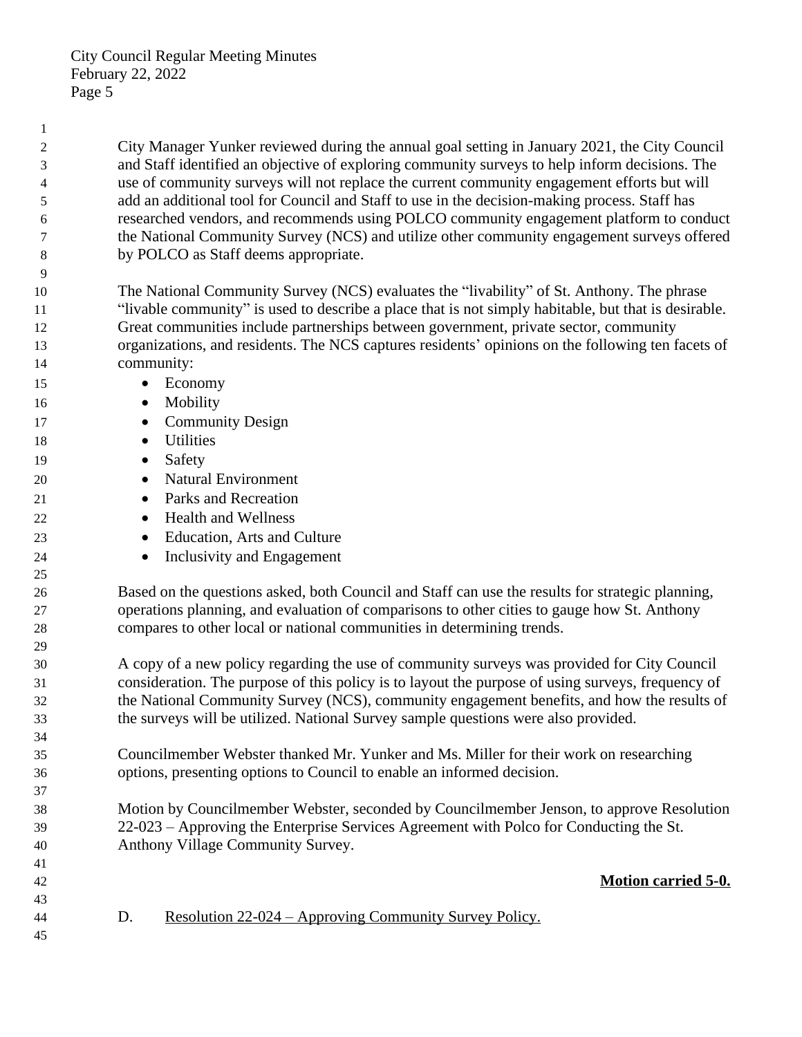City Manager Yunker reviewed during the annual goal setting in January 2021, the City Council and Staff identified an objective of exploring community surveys to help inform decisions. The use of community surveys will not replace the current community engagement efforts but will add an additional tool for Council and Staff to use in the decision-making process. Staff has researched vendors, and recommends using POLCO community engagement platform to conduct the National Community Survey (NCS) and utilize other community engagement surveys offered by POLCO as Staff deems appropriate.

 The National Community Survey (NCS) evaluates the "livability" of St. Anthony. The phrase "livable community" is used to describe a place that is not simply habitable, but that is desirable. Great communities include partnerships between government, private sector, community organizations, and residents. The NCS captures residents' opinions on the following ten facets of community:

- Economy
- Mobility
- 17 Community Design
- Utilities
- 19 Safety
- Natural Environment
- 21 Parks and Recreation
- 22 Health and Wellness
- **Education, Arts and Culture**
- **Inclusivity and Engagement**

 Based on the questions asked, both Council and Staff can use the results for strategic planning, operations planning, and evaluation of comparisons to other cities to gauge how St. Anthony compares to other local or national communities in determining trends.

 A copy of a new policy regarding the use of community surveys was provided for City Council consideration. The purpose of this policy is to layout the purpose of using surveys, frequency of the National Community Survey (NCS), community engagement benefits, and how the results of the surveys will be utilized. National Survey sample questions were also provided.

 Councilmember Webster thanked Mr. Yunker and Ms. Miller for their work on researching options, presenting options to Council to enable an informed decision.

 Motion by Councilmember Webster, seconded by Councilmember Jenson, to approve Resolution 22-023 – Approving the Enterprise Services Agreement with Polco for Conducting the St. Anthony Village Community Survey.

# **Motion carried 5-0.**

- D. Resolution 22-024 Approving Community Survey Policy.
-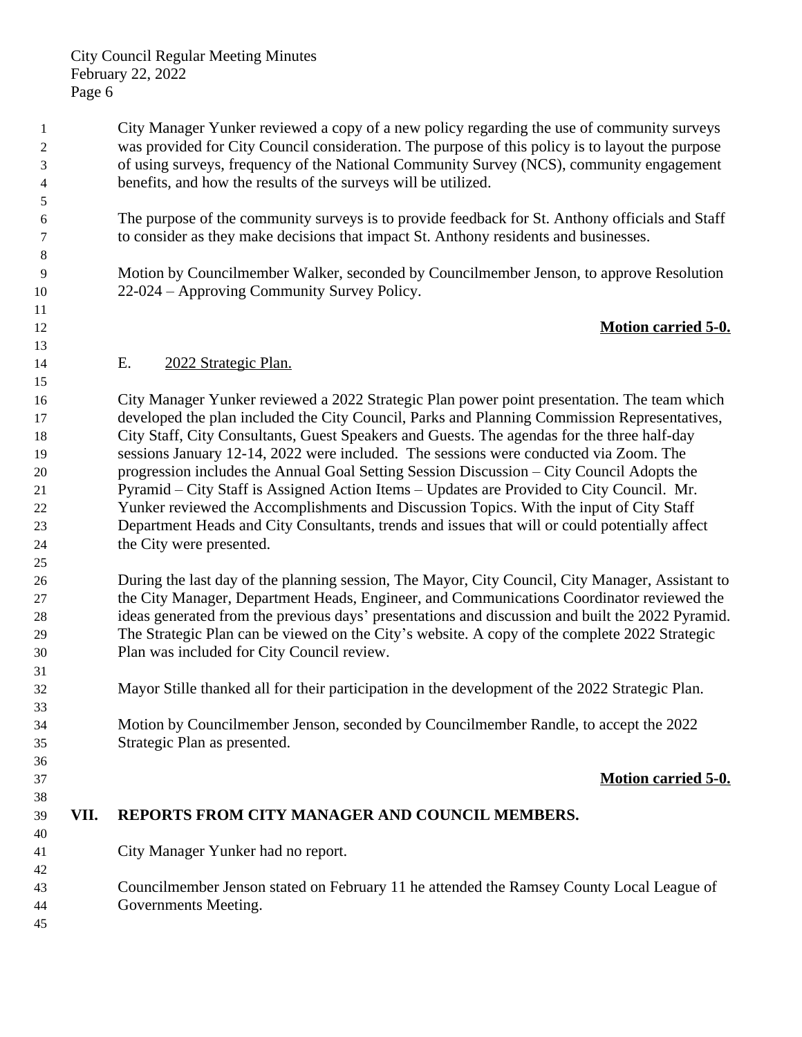City Manager Yunker reviewed a copy of a new policy regarding the use of community surveys was provided for City Council consideration. The purpose of this policy is to layout the purpose of using surveys, frequency of the National Community Survey (NCS), community engagement benefits, and how the results of the surveys will be utilized.

 The purpose of the community surveys is to provide feedback for St. Anthony officials and Staff to consider as they make decisions that impact St. Anthony residents and businesses.

 Motion by Councilmember Walker, seconded by Councilmember Jenson, to approve Resolution 22-024 – Approving Community Survey Policy.

## **Motion carried 5-0.**

## E. 2022 Strategic Plan.

 City Manager Yunker reviewed a 2022 Strategic Plan power point presentation. The team which developed the plan included the City Council, Parks and Planning Commission Representatives, City Staff, City Consultants, Guest Speakers and Guests. The agendas for the three half-day sessions January 12-14, 2022 were included. The sessions were conducted via Zoom. The progression includes the Annual Goal Setting Session Discussion – City Council Adopts the Pyramid – City Staff is Assigned Action Items – Updates are Provided to City Council. Mr. Yunker reviewed the Accomplishments and Discussion Topics. With the input of City Staff Department Heads and City Consultants, trends and issues that will or could potentially affect the City were presented.

 During the last day of the planning session, The Mayor, City Council, City Manager, Assistant to the City Manager, Department Heads, Engineer, and Communications Coordinator reviewed the ideas generated from the previous days' presentations and discussion and built the 2022 Pyramid. The Strategic Plan can be viewed on the City's website. A copy of the complete 2022 Strategic Plan was included for City Council review.

Mayor Stille thanked all for their participation in the development of the 2022 Strategic Plan.

 Motion by Councilmember Jenson, seconded by Councilmember Randle, to accept the 2022 Strategic Plan as presented.

### **Motion carried 5-0.**

**VII. REPORTS FROM CITY MANAGER AND COUNCIL MEMBERS.**

City Manager Yunker had no report.

 Councilmember Jenson stated on February 11 he attended the Ramsey County Local League of Governments Meeting.